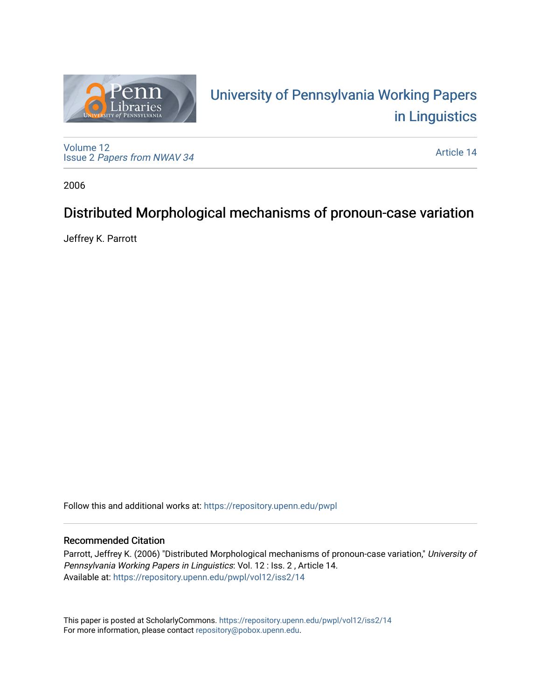

# University of P[ennsylvania Working P](https://repository.upenn.edu/pwpl)apers [in Linguistics](https://repository.upenn.edu/pwpl)

[Volume 12](https://repository.upenn.edu/pwpl/vol12) Issue 2 [Papers from NWAV 34](https://repository.upenn.edu/pwpl/vol12/iss2)

[Article 14](https://repository.upenn.edu/pwpl/vol12/iss2/14) 

2006

# Distributed Morphological mechanisms of pronoun-case variation

Jeffrey K. Parrott

Follow this and additional works at: [https://repository.upenn.edu/pwpl](https://repository.upenn.edu/pwpl?utm_source=repository.upenn.edu%2Fpwpl%2Fvol12%2Fiss2%2F14&utm_medium=PDF&utm_campaign=PDFCoverPages) 

# Recommended Citation

Parrott, Jeffrey K. (2006) "Distributed Morphological mechanisms of pronoun-case variation," University of Pennsylvania Working Papers in Linguistics: Vol. 12 : Iss. 2 , Article 14. Available at: [https://repository.upenn.edu/pwpl/vol12/iss2/14](https://repository.upenn.edu/pwpl/vol12/iss2/14?utm_source=repository.upenn.edu%2Fpwpl%2Fvol12%2Fiss2%2F14&utm_medium=PDF&utm_campaign=PDFCoverPages)

This paper is posted at ScholarlyCommons.<https://repository.upenn.edu/pwpl/vol12/iss2/14> For more information, please contact [repository@pobox.upenn.edu.](mailto:repository@pobox.upenn.edu)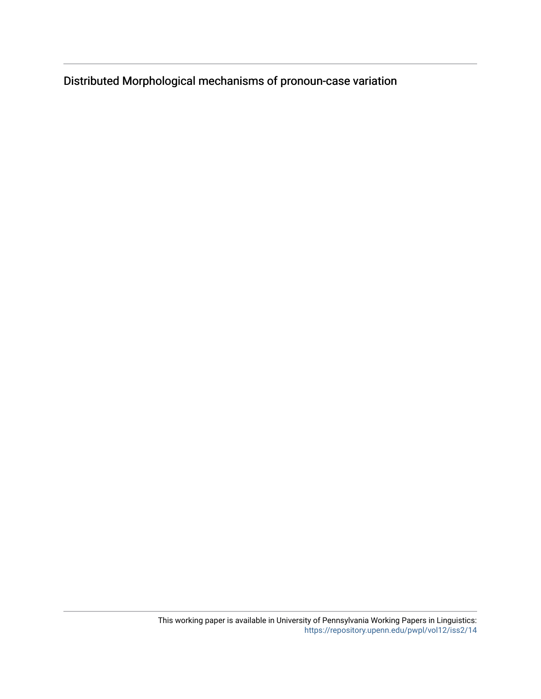Distributed Morphological mechanisms of pronoun-case variation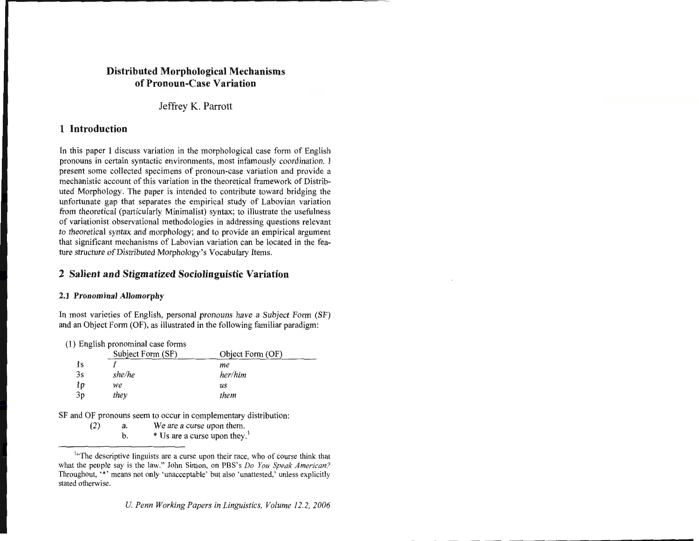# **Distributed Morphological Mechanisms of Pronoun-Case Variation**

Jeffrey K. Parrott

# **1 Introduction**

In this paper I discuss variation in the morphological case form of English pronouns in certain syntactic environments, most infamously coordination. I present some collected specimens of pronoun-case variation and provide a mechanistic account of this variation in the theoretical framework of Distributed Morphology. The paper is intended to contribute toward bridging the unfortunate gap that separates the empirical study of Labovian variation from theoretical (particularly Minimalist) syntax; to illustrate the usefulness of variationist observational methodologies in addressing questions relevant to theoretical syntax and morphology; and to provide an empirical argument that significant mechanisms of Labovian variation can be located in the feature structure of Distributed Morphology's Vocabulary Items.

# **2 Salient and Stigmatized Sociolinguistic Variation**

# **2.1 Pronominal Allomorphy**

In most varieties of English, personal pronouns have a Subject Form (SF) and an Object Form (OF), as illustrated in the following familiar paradigm:

( 1) English pronominal case forms

|    | Subject Form (SF) | Object Form (OF) |  |
|----|-------------------|------------------|--|
| 1s |                   | me               |  |
| 3s | she/he            | her/him          |  |
| 1p | we                | us               |  |
| 3p | they              | them             |  |

SF and OF pronouns seem to occur in complementary distribution:

(2) a. We are a curse upon them. b.  $*$  Us are a curse upon they.<sup>1</sup>

<sup>&</sup>lt;sup>1</sup>"The descriptive linguists are a curse upon their race, who of course think that what the people say is the law." John Simon, on PBS's *Do You Speak American?*  Throughout, "\*' means not only 'unacceptable' but also 'unattested,' unless explicitly stated otherwise.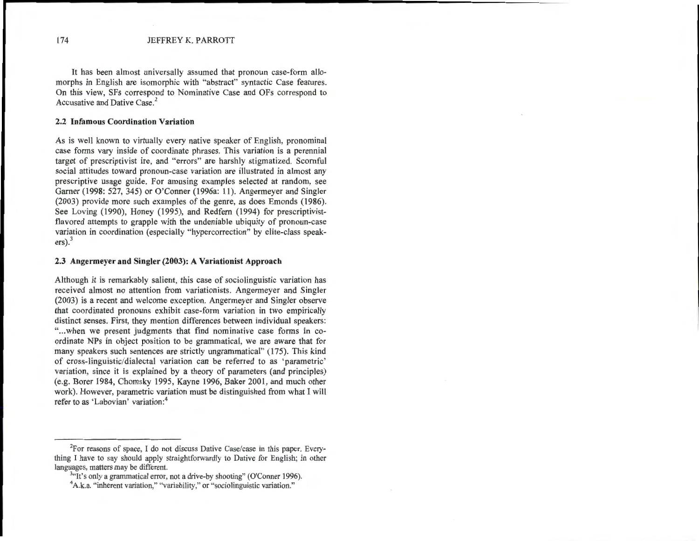It has been almost universally assumed that pronoun case-form allomorphs in English are isomorphic with "abstract" syntactic Case features. On this view, SFs correspond to Nominative Case and OFs correspond to Accusative and Dative Case. 2

#### **2.2 Infamous Coordination Variation**

As is well known to virtually every native speaker of English, pronominal case forms vary inside of coordinate phrases. This variation is a perennial target of prescriptivist ire, and "errors" are harshly stigmatized. Scornful social attitudes toward pronoun-case variation are illustrated in almost any prescriptive usage guide. For amusing examples selected at random, see Gamer (1998: 527, 345) or O'Conner (1996a: 11). Angermeyer and Singler (2003) provide more such examples of the genre, as does Emonds (1986). See Loving (1990), Honey (1995), and Redfern (1994) for prescriptivistflavored attempts to grapple with the undeniable ubiquity of pronoun-case variation in coordination (especially "hypercorrection" by elite-class speak $ers)$ .<sup>3</sup>

#### **2.3 Angermeyer and Singler (2003): A Variationist Approach**

Although it is remarkably salient, this case of sociolinguistic variation has received almost no attention from variationists. Angermeyer and Singler (2003) is a recent and welcome exception. Angermeyer and Singler observe that coordinated pronouns exhibit case-form variation in two empirically distinct senses. First, they mention differences between individual speakers: "... when we present judgments that find nominative case forms in coordinate NPs in object position to be grammatical, we are aware that for many speakers such sentences are strictly ungrammatical" (175). This kind of cross-linguistic/dialectal variation can be referred to as 'parametric' variation, since it is explained by a theory of parameters (and principles) (e.g. Borer 1984, Chomsky 1995, Kayne 1996, Baker 2001, and much other work). However, parametric variation must be distinguished from what I will refer to as 'Labovian' variation:<sup>4</sup>

<sup>&</sup>lt;sup>2</sup>For reasons of space, I do not discuss Dative Case/case in this paper. Everything I have to say should apply straightforwardly to Dative for English; in other languages, matters may be different.

 $3$ "It's only a grammatical error, not a drive-by shooting" (O'Conner 1996).

<sup>&</sup>lt;sup>4</sup>A.k.a. "inherent variation," "variability," or "sociolinguistic variation."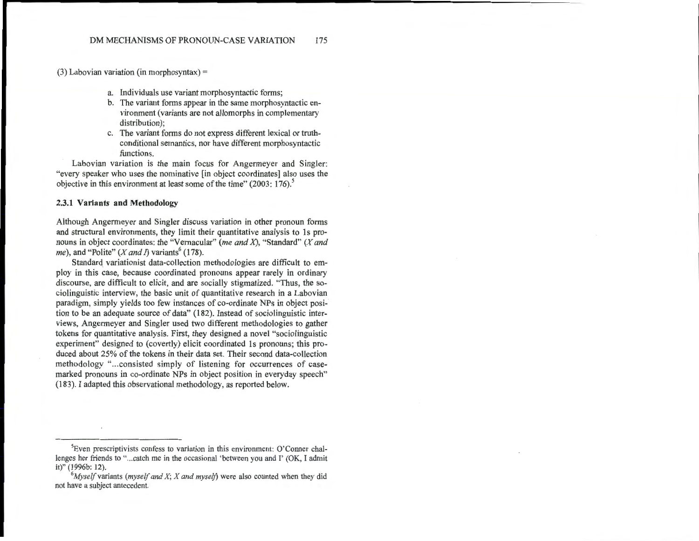(3) Labovian variation (in morphosyntax)  $=$ 

- a. Individuals use variant morphosyntactic forms;
- b. The variant forms appear in the same morphosyntactic environment (variants are not allomorphs in complementary distribution);
- c. The variant forms do not express different lexical or truthconditional semantics, nor have different morphosyntactic functions.

Labovian variation is the main focus for Angermeyer and Singler: "every speaker who uses the nominative [in object coordinates] also uses the objective in this environment at least some of the time" (2003: 176).<sup>5</sup>

#### **2.3.1 Variants and Methodology**

Although Angermeyer and Singler discuss variation in other pronoun forms and structural environments, they limit their quantitative analysis to 1s pronouns in object coordinates: the "Vernacular" *(me and* X), "Standard" (X *and me*), and "Polite" (*X and I*) variants<sup>6</sup> (178).

Standard variationist data-collection methodologies are difficult to employ in this case, because coordinated pronouns appear rarely in ordinary discourse, are difficult to elicit, and are socially stigmatized. "Thus, the sociolinguistic interview, the basic unit of quantitative research in a Labovian paradigm, simply yields too few instances of co-ordinate NPs in object position to be an adequate source of data" (182). Instead of sociolinguistic interviews, Angermeyer and Singler used two different methodologies to gather tokens for quantitative analysis. First, they designed a novel "sociolinguistic experiment" designed to (covertly) elicit coordinated 1s pronouns; this produced about 25% of the tokens in their data set. Their second data-collection methodology "...consisted simply of listening for occurrences of casemarked pronouns in co-ordinate NPs in object position in everyday speech" (183). I adapted this observational methodology, as reported below.

<sup>5</sup>Even prescriptivists confess to variation in this environment: O'Conner challenges her friends to "... catch me in the occasional 'between you and I' (OK, I admit it)" (1996b: 12).

 $^{6}$ *Myself* variants *(myself and X; X and myself)* were also counted when they did not have a subject antecedent.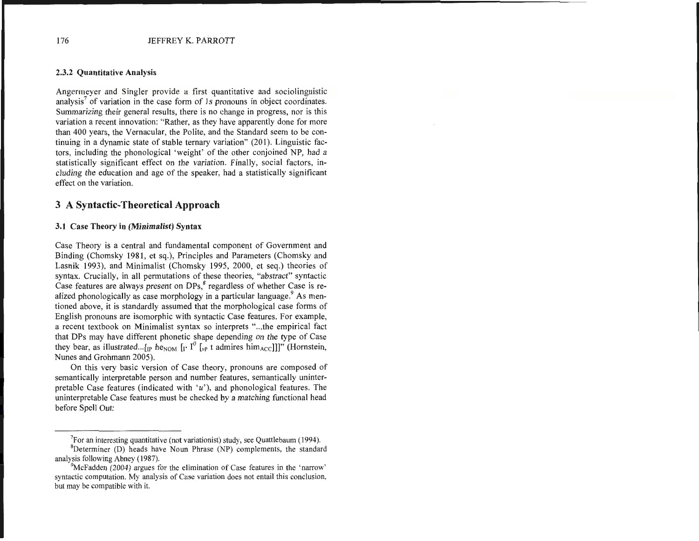#### 2.3.2 Quantitative Analysis

Angermeyer and Singler provide a first quantitative and sociolinguistic  $analysis<sup>7</sup>$  of variation in the case form of 1s pronouns in object coordinates. Summarizing their general results, there is no change in progress, nor is this variation a recent innovation: "Rather, as they have apparently done for more than 400 years, the Vernacular, the Polite, and the Standard seem to be continuing in a dynamic state of stable ternary variation" (201). Linguistic factors, including the phonological 'weight' of the other conjoined NP, had a statistically significant effect on the variation. Finally, social factors, including the education and age of the speaker, had a statistically significant effect on the variation.

# **3 A Syntactic-Theoretical Approach**

#### 3.1 Case Theory in (Minimalist) Syntax

Case Theory is a central and fundamental component of Government and Binding (Chomsky 1981, et sq.), Principles and Parameters (Chomsky and Lasnik 1993), and Minimalist (Chomsky 1995, 2000, et seq.) theories of syntax. Crucially, in all permutations of these theories, "abstract" syntactic Case features are always present on DPs,<sup>8</sup> regardless of whether Case is realized phonologically as case morphology in a particular language. $9$  As mentioned above, it is standardly assumed that the morphological case forms of English pronouns are isomorphic with syntactic Case features. For example, a recent textbook on Minimalist syntax so interprets " ... the empirical fact that DPs may have different phonetic shape depending on the type of Case they bear, as illustrated... [<sub>IP</sub> he<sub>NOM</sub>  $\int_{I}$ <sup>p</sup>  $\int_{V}$ <sup>p</sup> t admires him<sub>ACC</sub>]]]" (Hornstein, Nunes and Grohmann 2005).

On this very basic version of Case theory, pronouns are composed of semantically interpretable person and number features, semantically uninterpretable Case features (indicated with  $'u'$ ), and phonological features. The uninterpretable Case features must be checked by a matching functional head before Spell Out:

<sup>&</sup>lt;sup>7</sup>For an interesting quantitative (not variationist) study, see Quattlebaum (1994).

 ${}^{8}$ Determiner (D) heads have Noun Phrase (NP) complements, the standard analysis following Abney (1987).

 $\rm{PMCFadden}$  (2004) argues for the elimination of Case features in the 'narrow' syntactic computation. My analysis of Case variation does not entail this conclusion, but may be compatible with it.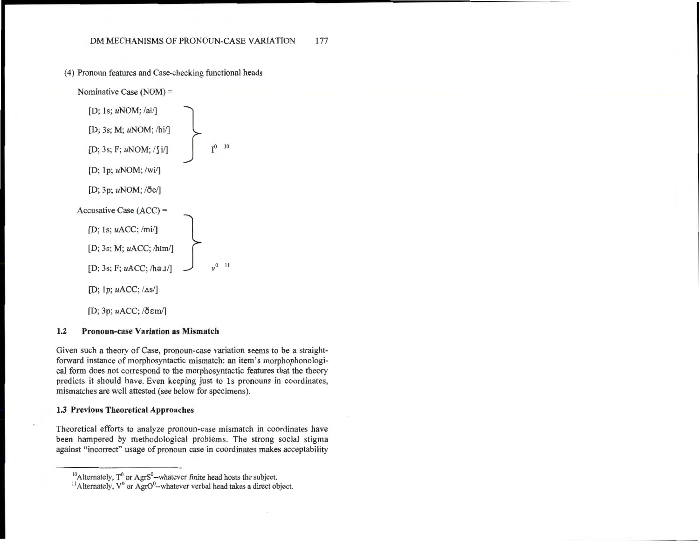( 4) Pronoun features and Case-checking functional heads



#### 1.2 Pronoun-case Variation as Mismatch

Given such a theory of Case, pronoun-case variation seems to be a straightforward instance of morphosyntactic mismatch: an item's morphophonological form does not correspond to the morphosyntactic features that the theory predicts it should have. Even keeping just to 1s pronouns in coordinates, mismatches are well attested (see below for specimens).

### 1.3 Previous Theoretical Approaches

Theoretical efforts to analyze pronoun-case mismatch in coordinates have been hampered by methodological problems. The strong social stigma against "incorrect" usage of pronoun case in coordinates makes acceptability

 $10$ Alternately, T<sup>0</sup> or AgrS<sup>0</sup>--whatever finite head hosts the subject.

 $11$ Alternately,  $V^0$  or AgrO<sup>0</sup>--whatever verbal head takes a direct object.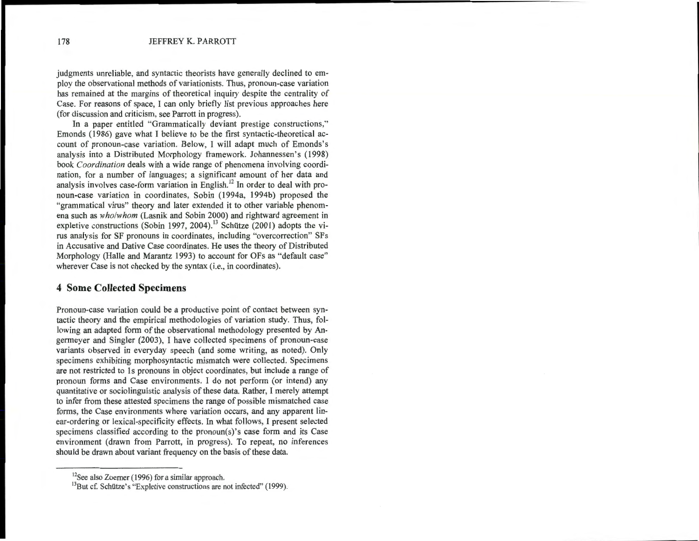judgments unreliable, and syntactic theorists have generally declined to employ the observational methods of variationists. Thus, pronoun-case variation has remained at the margins of theoretical inquiry despite the centrality of Case. For reasons of space, I can only briefly list previous approaches here (for discussion and criticism, see Parrott in progress).

In a paper entitled "Grammatically deviant prestige constructions," Emonds (1986) gave what I believe to be the first syntactic-theoretical account of pronoun-case variation. Below, I will adapt much of Emonds's analysis into a Distributed Morphology framework. Johannessen's (1998) book *Coordination* deals with a wide range of phenomena involving coordination, for a number of languages; a significant amount of her data and analysis involves case-form variation in English.<sup>12</sup> In order to deal with pronoun-case variation in coordinates, Sobin (1994a, 1994b) proposed the "grammatical virus" theory and later extended it to other variable phenomena such as *who/whom* (Lasnik and Sobin 2000) and rightward agreement in expletive constructions (Sobin 1997, 2004).<sup>13</sup> Schütze (2001) adopts the virus analysis for SF pronouns in coordinates, including "overcorrection" SFs in Accusative and Dative Case coordinates. He uses the theory of Distributed Morphology (Halle and Marantz 1993) to account for OFs as "default case" wherever Case is not checked by the syntax (i.e., in coordinates).

# **4 Some Collected Specimens**

Pronoun-case variation could be a productive point of contact between syntactic theory and the empirical methodologies of variation study. Thus, following an adapted form of the observational methodology presented by Angermeyer and Singler (2003), I have collected specimens of pronoun-case variants observed in everyday speech (and some writing, as noted). Only specimens exhibiting morphosyntactic mismatch were collected. Specimens are not restricted to 1s pronouns in object coordinates, but include a range of pronoun forms and Case environments. I do not perform (or intend) any quantitative or sociolinguistic analysis of these data. Rather, I merely attempt to infer from these attested specimens the range of possible mismatched case forms, the Case environments where variation occurs, and any apparent linear-ordering or lexical-specificity effects. In what follows, I present selected specimens classified according to the pronoun(s)'s case form and its Case environment (drawn from Parrott, in progress). To repeat, no inferences should be drawn about variant frequency on the basis of these data.

 $12$ See also Zoerner (1996) for a similar approach.

<sup>&</sup>lt;sup>13</sup>But cf. Schütze's "Expletive constructions are not infected" (1999).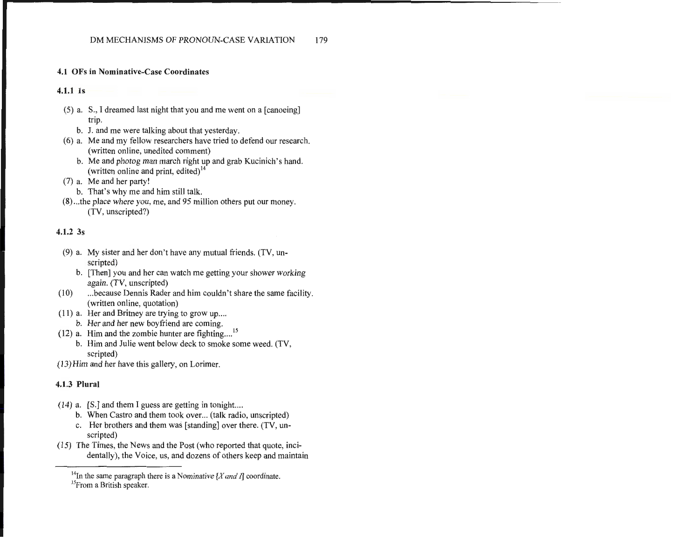### **4.1** OFs **in** Nominative-Case Coordinates

#### **4.1.1 1s**

- (5) a. S., I dreamed last night that you and me went on a [canoeing] trip.
	- b. J. and me were talking about that yesterday.
- ( 6) a. Me and my fellow researchers have tried to defend our research. (written online, unedited comment)
	- b. Me and photog man march right up and grab Kucinich's hand. (written online and print, edited) <sup>14</sup>
- (7) a. Me and her party!
	- b. That's why me and him still talk.
- (8) ... the place where you, me, and 95 million others put our money. (TV, unscripted?)

## **4.1.2** 3s

- (9) a. My sister and her don't have any mutual friends. (TV, unscripted)
	- b. [Then] you and her can watch me getting your shower working again. (TV, unscripted)
- (10) ... because Dennis Rader and him couldn't share the same facility. (written online, quotation)
- $(11)$  a. Her and Britney are trying to grow up....
- b. Her and her new boyfriend are coming.
- $(12)$  a. Him and the zombie hunter are fighting....<sup>15</sup>
	- b. Him and Julie went below deck to smoke some weed. (TV, scripted)
- (13)Him and her have this gallery, on Lorimer.

# **4.1.3 Plural**

- $(14)$  a. [S.] and them I guess are getting in tonight....
	- b. When Castro and them took over... (talk radio, unscripted)
	- c. Her brothers and them was [standing] over there. (TV, unscripted)
- (15) The Times, the News and the Post (who reported that quote, incidentally), the Voice, us, and dozens of others keep and maintain

<sup>&</sup>lt;sup>14</sup>In the same paragraph there is a Nominative  $[X \text{ and } I]$  coordinate. <sup>15</sup>From a British speaker.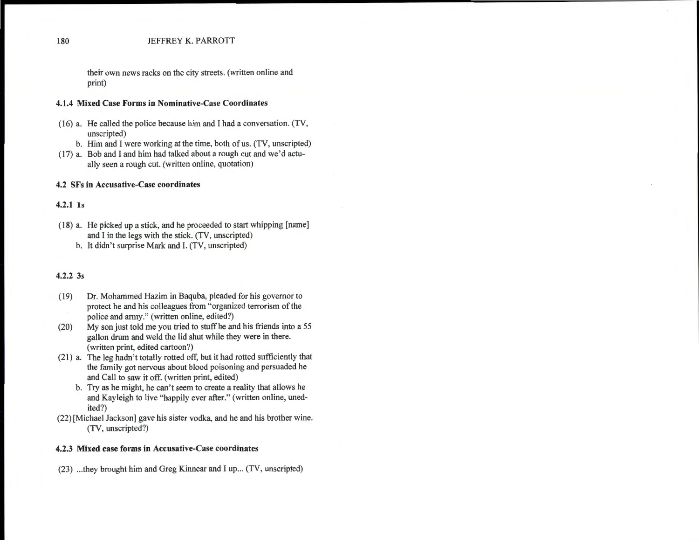#### 180 JEFFREY K. PARROTT

their own news racks on the city streets. (written online and print)

#### 4.1.4 Mixed Case Forms in Nominative-Case Coordinates

- (16) a. He called the police because him and I had a conversation. (TV, unscripted)
	- b. Him and I were working at the time, both of us. (TV, unscripted)
- (17) a. Bob and I and him had talked about a rough cut and we'd actually seen a rough cut. (written online, quotation)

#### 4.2 SFs in Accusative-Case coordinates

# 4.2.1 1s

- (18) a. He picked up a stick, and he proceeded to start whipping [name] and I in the legs with the stick. (TV, unscripted)
	- b. It didn't surprise Mark and I. (TV, unscripted)

# 4.2.2 3s

- (19) Dr. Mohammed Hazim in Baquba, pleaded for his governor to protect he and his colleagues from "organized terrorism of the police and army." (written online, edited?)
- (20) My son just told me you tried to stuff he and his friends into a 55 gallon drum and weld the lid shut while they were in there. (written print, edited cartoon?)
- (21) a. The leg hadn't totally rotted off, but it had rotted sufficiently that the family got nervous about blood poisoning and persuaded he and Call to saw it off. (written print, edited)
	- b. Try as he might, he can't seem to create a reality that allows he and Kayleigh to live "happily ever after." (written online, unedited?)
- (22) [Michael Jackson] gave his sister vodka, and he and his brother wine. (TV, unscripted?)

#### 4.2.3 Mixed case forms in Accusative-Case coordinates

(23) ... they brought him and Greg Kinnear and I up ... (TV, unscripted)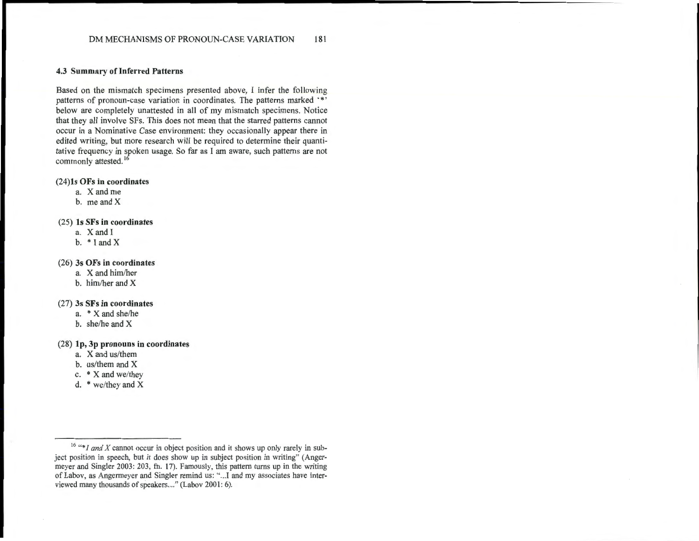#### 4.3 Summary of Inferred Patterns

Based on the mismatch specimens presented above, I infer the following patterns of pronoun-case variation in coordinates. The patterns marked '\*' below are completely unattested in all of my mismatch specimens. Notice that they all involve SFs. This does not mean that the starred patterns cannot occur in a Nominative Case environment: they occasionally appear there in edited writing, but more research will be required to determine their quantitative frequency in spoken usage. So far as I am aware, such patterns are not commonly attested.<sup>16</sup>

#### (24)1s OFs in coordinates

- a. Xandme
- b. me and X

#### (25) ls SFs in coordinates

- a. X and I
- b.  $*$  I and X

#### (26) 3s OFs in coordinates

- a. X and him/her
- b. him/her and X

#### (27) 3s SFs in coordinates

- a. \* X and she/he
- b. she/he and X

#### (28) lp, 3p pronouns in coordinates

- a. X and us/them
- b. us/them and X
- c. \* X and we/they
- d. \* we/they and X

<sup>&</sup>lt;sup>16</sup> "\**I and X* cannot occur in object position and it shows up only rarely in subject position in speech, but it does show up in subject position in writing" (Angermeyer and Singler 2003: 203, fn. 17). Famously, this pattern turns up in the writing of Labov, as Angermeyer and Singler remind us: " .. .I and my associates have interviewed many thousands of speakers...." (Labov 2001: 6).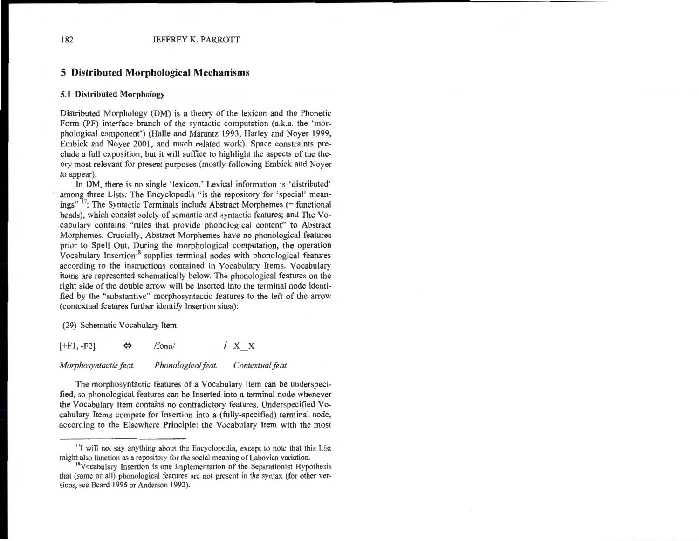# **5 Distributed Morphological Mechanisms**

#### **5.1 Distributed Morphology**

Distributed Morphology (DM) is a theory of the lexicon and the Phonetic Form (PF) interface branch of the syntactic computation (a.k.a. the 'morphological component') (Halle and Marantz 1993, Harley and Noyer 1999, Embick and Noyer 2001, and much related work). Space constraints preclude a full exposition, but it will suffice to highlight the aspects of the theory most relevant for present purposes (mostly following Embick and Noyer to appear).

In DM, there is no single 'lexicon.' Lexical information is 'distributed' among three Lists: The Encyclopedia "is the repository for 'special' meanings" 17; The Syntactic Terminals include Abstract Morphemes (= functional heads), which consist solely of semantic and syntactic features; and The Vocabulary contains "rules that provide phonological content" to Abstract Morphemes. Crucially, Abstract Morphemes have no phonological features prior to Spell Out. During the morphological computation, the operation Vocabulary Insertion<sup>18</sup> supplies terminal nodes with phonological features according to the instructions contained in Vocabulary Items. Vocabulary items are represented schematically below. The phonological features on the right side of the double arrow will be Inserted into the terminal node identified by the "substantive" morphosyntactic features to the left of the arrow (contextual features further identify Insertion sites):

(29) Schematic Vocabulary Item

 $[+F1, -F2]$   $\Leftrightarrow$  /fono/ / X X

*Morphosyntactic feat. Phonological feat. Contextual feat.* 

The morphosyntactic features of a Vocabulary Item can be underspecified, so phonological features can be Inserted into a terminal node whenever the Vocabulary Item contains no contradictory features. Underspecified Vocabulary Items compete for Insertion into a (fully-specified) terminal node, according to the Elsewhere Principle: the Vocabulary Item with the most

 $17$ <sub>I</sub> will not say anything about the Encyclopedia, except to note that this List might also function as a repository for the social meaning of Labovian variation.

<sup>&</sup>lt;sup>18</sup>Vocabulary Insertion is one implementation of the Separationist Hypothesis that (some or all) phonological features are not present in the syntax (for other versions, see Beard 1995 or Anderson 1992).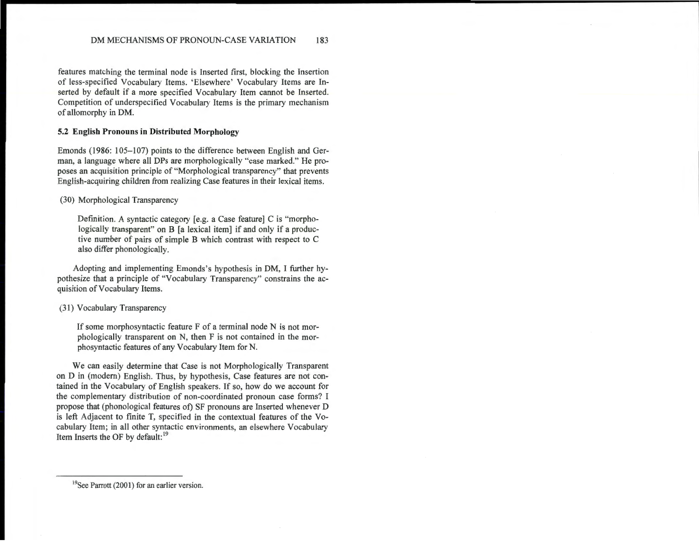features matching the terminal node is Inserted first, blocking the Insertion of less-specified Vocabulary Items. 'Elsewhere' Vocabulary Items are Inserted by default if a more specified Vocabulary Item cannot be Inserted. Competition of underspecified Vocabulary Items is the primary mechanism of allomorphy in DM.

#### **5.2 English Pronouns in Distributed Morphology**

Emonds (1986: 105-107) points to the difference between English and German, a language where all DPs are morphologically "case marked." He proposes an acquisition principle of "Morphological transparency" that prevents English-acquiring children from realizing Case features in their lexical items.

(30) Morphological Transparency

Definition. A syntactic category [e.g. a Case feature] C is "morphologically transparent" on B [a lexical item] if and only if a productive number of pairs of simple B which contrast with respect to C also differ phonologically.

Adopting and implementing Emonds's hypothesis in DM, I further hypothesize that a principle of "Vocabulary Transparency" constrains the acquisition of Vocabulary Items.

(31) Vocabulary Transparency

If some morphosyntactic feature F of a terminal node N is not morphologically transparent on N, then F is not contained in the morphosyntactic features of any Vocabulary Item for N.

We can easily determine that Case is not Morphologically Transparent on D in (modem) English. Thus, by hypothesis, Case features are not contained in the Vocabulary of English speakers. If so, how do we account for the complementary distribution of non-coordinated pronoun case forms? I propose that (phonological features of) SF pronouns are Inserted whenever D is left Adjacent to finite T, specified in the contextual features of the Vocabulary Item; in all other syntactic environments, an elsewhere Vocabulary Item Inserts the OF by default: 19

<sup>&</sup>lt;sup>19</sup>See Parrott (2001) for an earlier version.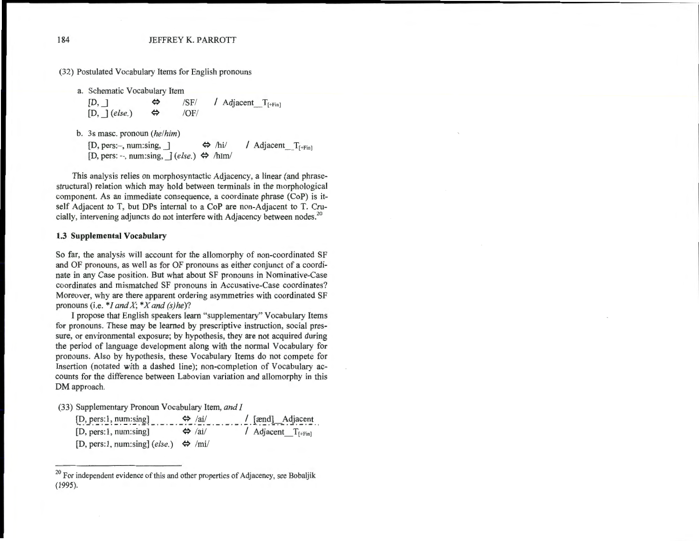(32) Postulated Vocabulary Items for English pronouns

a. Schematic Vocabulary Item

 $[D, ]$   $\Leftrightarrow$  /SF/ / Adjacent T<sub>[+Fin]</sub>  $[D, \,](else.) \Leftrightarrow$  /OF/

b. 3s masc. pronoun *(he/him)* 

 $[D, pers:-, num:sing, ] \Leftrightarrow /hi /$  Adjacent  $T_{[+Fin]}$  $[D, pers: -, num:sing, ](else.) \Leftrightarrow /hIm/$ 

This analysis relies on morphosyntactic Adjacency, a linear (and phrasestructural) relation which may hold between terminals in the morphological component. As an immediate consequence, a coordinate phrase (CoP) is itself Adjacent to T, but DPs internal to a CoP are non-Adjacent to T. Crucially, intervening adjuncts do not interfere with Adjacency between nodes.<sup>20</sup>

#### **1.3 Supplemental Vocabulary**

So far, the analysis will account for the allomorphy of non-coordinated SF and OF pronouns, as well as for OF pronouns as either conjunct of a coordinate in any Case position. But what about SF pronouns in Nominative-Case coordinates and mismatched SF pronouns in Accusative-Case coordinates? Moreover, why are there apparent ordering asymmetries with coordinated SF pronouns (i.e. *\*I and X; \*X and (s)he)?* 

I propose that English speakers learn "supplementary" Vocabulary Items for pronouns. These may be learned by prescriptive instruction, social pressure, or environmental exposure; by hypothesis, they are not acquired during the period of language development along with the normal Vocabulary for pronouns. Also by hypothesis, these Vocabulary Items do not compete for Insertion (notated with a dashed line); non-completion of Vocabulary accounts for the difference between Labovian variation and allomorphy in this DM approach.

(33) Supplementary Pronoun Vocabulary Item, *and I* 

| [D, pers:1, num:sing]                                | $\Leftrightarrow$ /ai/ | $\frac{1}{2}$ [ænd] Adjacent |
|------------------------------------------------------|------------------------|------------------------------|
| [D, pers:1, num:sing]                                | $\Leftrightarrow$ /ai/ | / Adjacent $T_{[+Fin]}$      |
| [D, pers:1, num:sing] (else.) $\Leftrightarrow$ /mi/ |                        |                              |

<sup>&</sup>lt;sup>20</sup> For independent evidence of this and other properties of Adjacency, see Bobaljik (1995).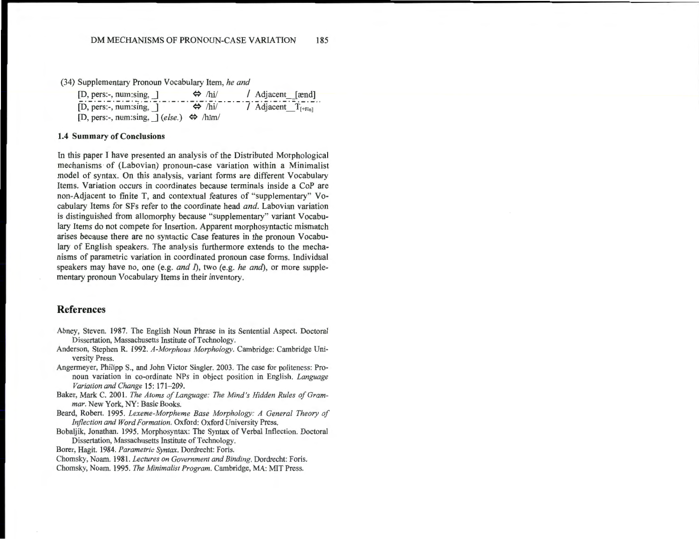(34) Supplementary Pronoun Vocabulary Item, *he and* 

| $[D, pers:-, num:sing, ]$                                  | $\Leftrightarrow$ /hi/ | / Adjacent [ænd]        |
|------------------------------------------------------------|------------------------|-------------------------|
| $[D, pers:-, num:sing, ]$                                  | $\Leftrightarrow$ /hi/ | / Adjacent $T_{[+Fin]}$ |
| [D, pers:-, num:sing, $\int (else.) \Leftrightarrow$ /hIm/ |                        |                         |

#### **1.4** Summary of Conclusions

In this paper I have presented an analysis of the Distributed Morphological mechanisms· of (Labovian) pronoun-case variation within a Minimalist model of syntax. On this analysis, variant forms are different Vocabulary Items. Variation occurs in coordinates because terminals inside a CoP are non-Adjacent to finite T, and contextual features of "supplementary" Vocabulary Items for SFs refer to the coordinate head *and.* Labovian variation is distinguished from allomorphy because "supplementary" variant Vocabulary Items do not compete for Insertion. Apparent morphosyntactic mismatch arises because there are no syntactic Case features in the pronoun Vocabulary of English speakers. The analysis furthermore extends to the mechanisms of parametric variation in coordinated pronoun case forms. Individual speakers may have no, one (e.g. *and* I), two (e.g. *he and),* or more supplementary pronoun Vocabulary Items in their inventory.

## **References**

- Abney, Steven. 1987. The English Noun Phrase in its Sentential Aspect. Doctoral Dissertation, Massachusetts Institute of Technology.
- Anderson, Stephen R. 1992. *A-Morphous Morphology.* Cambridge: Cambridge University Press.
- Angermeyer, Philipp S., and John Victor Singler. 2003. The case for politeness: Pronoun variation in co-ordinate NPs in object position in English. *Language Variation and Change* 15: 171-209.
- Baker, Mark C. 2001. *The Atoms of Language: The Mind 's Hidden Rules of Grammar.* New York, NY: Basic Books.
- Beard, Robert. 1995. *Lexeme-Morpheme Base Morphology: A General Theory of Inflection and Word Formation.* Oxford: Oxford University Press.
- Bobaljik, Jonathan. 1995. Morphosyntax: The Syntax of Verbal Inflection. Doctoral Dissertation, Massachusetts Institute of Technology.
- Borer, Hagit. 1984. *Parametric Syntax.* Dordrecht: Foris.
- Chomsky, Noam. 1981. *Lectures on Government and Binding.* Dordrecht: Foris.
- Chomsky, Noam. 1995. *The Minimalist Program.* Cambridge, MA: MIT Press.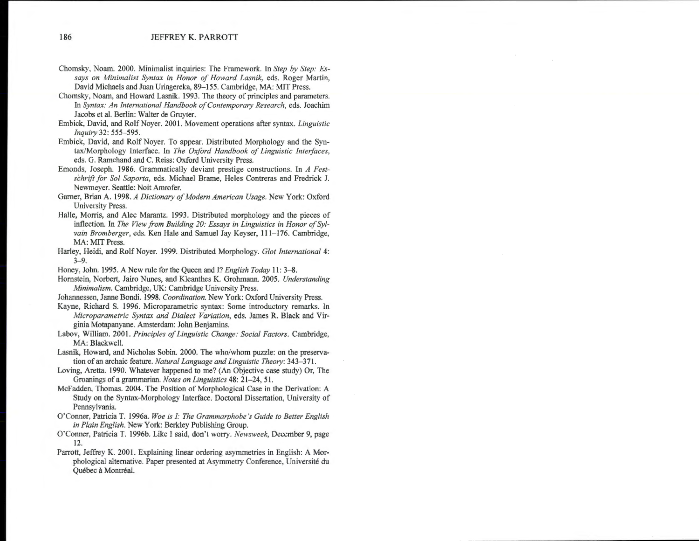- Chomsky, Noam. 2000. Minimalist inquiries: The Framework. In *Step by Step: Essays on Minimalist Syntax in Honor of Howard Lasnik,* eds. Roger Martin, David Michaels and Juan Uriagereka, 89-155. Cambridge, MA: MIT Press.
- Chomsky, Noam, and Howard Lasnik. 1993. The theory of principles and parameters. In *Syntax: An International Handbook of Contemporary Research,* eds. Joachim Jacobs et al. Berlin: Walter de Gruyter.
- Embick, David, and RolfNoyer. 2001. Movement operations after syntax. *Linguistic Inquiry* 32: 555-595.
- Embick, David, and Rolf Noyer. To appear. Distributed Morphology and the Syntax/Morphology Interface. In *The Oxford Handbook of Linguistic Interfaces,*  eds. G. Ramchand and C. Reiss: Oxford University Press.
- Emonds, Joseph. 1986. Grammatically deviant prestige constructions. In *A Festschrift for Sol Saporta,* eds. Michael Brame, Heles Contreras and Fredrick J. Newmeyer. Seattle: Noit Amrofer.
- Gamer, Brian A. 1998. *A Dictionary of Modern American Usage.* New York: Oxford University Press.
- Halle, Morris, and Alec Marantz. 1993. Distributed morphology and the pieces of inflection. In *The View from Building 20: Essays in Linguistics in Honor of Sylvain Bromberger,* eds. Ken Hale and Samuel Jay Keyser, 111-176. Cambridge, MA: MIT Press.
- Harley, Heidi, and Rolf Noyer. 1999. Distributed Morphology. *Glot International* 4: 3-9.
- Honey, John. 1995. A New rule for the Queen and I? *English Today* 11: 3-8.
- Hornstein, Norbert, Jairo Nunes, and Kleanthes K. Grohmann. 2005. *Understanding Minimalism.* Cambridge, UK: Cambridge University Press.
- Johannessen, Janne Bondi. 1998. *Coordination.* New York: Oxford University Press.
- Kayne, Richard S. 1996. Microparametric syntax: Some introductory remarks. In *Microparametric Syntax and Dialect Variation,* eds. James R. Black and Virginia Motapanyane. Amsterdam: John Benjamins.
- Labov, William. 2001. *Principles of Linguistic Change: Social Factors.* Cambridge, MA: Blackwell.
- Lasnik, Howard, and Nicholas Sobin. 2000. The who/whom puzzle: on the preservation of an archaic feature. *Natural Language and Linguistic Theory:* 343-371.
- Loving, Aretta. 1990. Whatever happened to me? (An Objective case study) Or, The Groanings of a grammarian. *Notes on Linguistics* 48: 21–24, 51.
- McFadden, Thomas. 2004. The Position of Morphological Case in the Derivation: A Study on the Syntax-Morphology Interface. Doctoral Dissertation, University of Pennsylvania.
- O'Conner, Patricia T. 1996a. *Woe is I: The Grammarphobe 's Guide to Better English in Plain English.* New York: Berkley Publishing Group.
- O'Conner, Patricia T. 1996b. Like I said, don't worry. *Newsweek,* December 9, page 12.
- Parrott, Jeffrey K. 2001. Explaining linear ordering asymmetries in English: A Morphological alternative. Paper presented at Asymmetry Conference, Universite du Québec à Montréal.